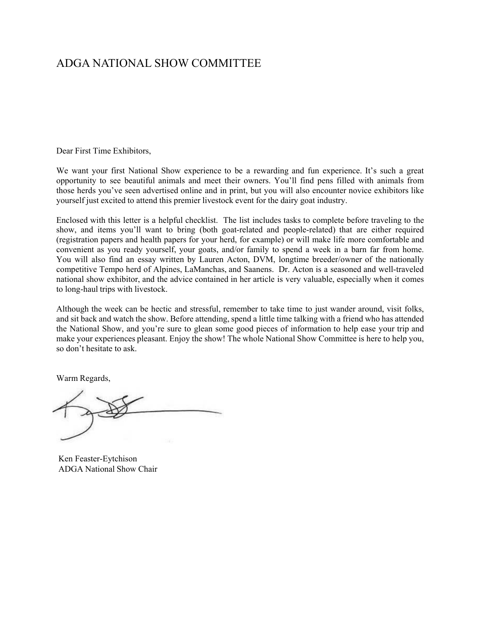# ADGA NATIONAL SHOW COMMITTEE

Dear First Time Exhibitors,

We want your first National Show experience to be a rewarding and fun experience. It's such a great opportunity to see beautiful animals and meet their owners. You'll find pens filled with animals from those herds you've seen advertised online and in print, but you will also encounter novice exhibitors like yourself just excited to attend this premier livestock event for the dairy goat industry.

Enclosed with this letter is a helpful checklist. The list includes tasks to complete before traveling to the show, and items you'll want to bring (both goat-related and people-related) that are either required (registration papers and health papers for your herd, for example) or will make life more comfortable and convenient as you ready yourself, your goats, and/or family to spend a week in a barn far from home. You will also find an essay written by Lauren Acton, DVM, longtime breeder/owner of the nationally competitive Tempo herd of Alpines, LaManchas, and Saanens. Dr. Acton is a seasoned and well-traveled national show exhibitor, and the advice contained in her article is very valuable, especially when it comes to long-haul trips with livestock.

Although the week can be hectic and stressful, remember to take time to just wander around, visit folks, and sit back and watch the show. Before attending, spend a little time talking with a friend who has attended the National Show, and you're sure to glean some good pieces of information to help ease your trip and make your experiences pleasant. Enjoy the show! The whole National Show Committee is here to help you, so don't hesitate to ask.

Warm Regards,

Ken Feaster-Eytchison ADGA National Show Chair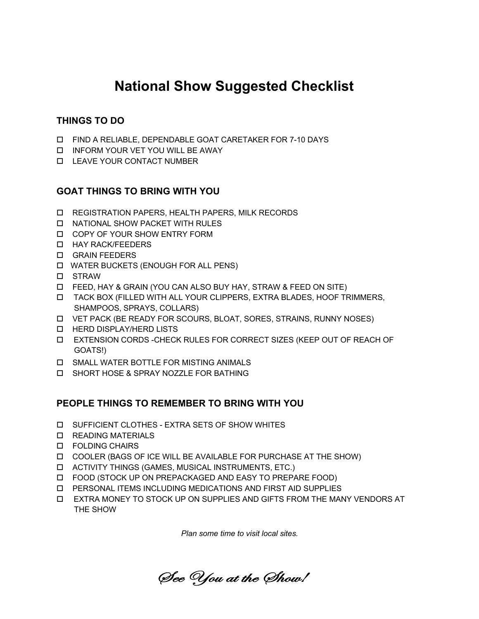# **National Show Suggested Checklist**

## **THINGS TO DO**

- FIND A RELIABLE, DEPENDABLE GOAT CARETAKER FOR 7-10 DAYS
- INFORM YOUR VET YOU WILL BE AWAY
- LEAVE YOUR CONTACT NUMBER

## **GOAT THINGS TO BRING WITH YOU**

- REGISTRATION PAPERS, HEALTH PAPERS, MILK RECORDS
- NATIONAL SHOW PACKET WITH RULES
- COPY OF YOUR SHOW ENTRY FORM
- **D** HAY RACK/FEEDERS
- GRAIN FEEDERS
- WATER BUCKETS (ENOUGH FOR ALL PENS)
- **D** STRAW
- FEED, HAY & GRAIN (YOU CAN ALSO BUY HAY, STRAW & FEED ON SITE)
- TACK BOX (FILLED WITH ALL YOUR CLIPPERS, EXTRA BLADES, HOOF TRIMMERS, SHAMPOOS, SPRAYS, COLLARS)
- VET PACK (BE READY FOR SCOURS, BLOAT, SORES, STRAINS, RUNNY NOSES)
- **D** HERD DISPLAY/HERD LISTS
- EXTENSION CORDS -CHECK RULES FOR CORRECT SIZES (KEEP OUT OF REACH OF GOATS!)
- SMALL WATER BOTTLE FOR MISTING ANIMALS
- SHORT HOSE & SPRAY NOZZLE FOR BATHING

### **PEOPLE THINGS TO REMEMBER TO BRING WITH YOU**

- SUFFICIENT CLOTHES EXTRA SETS OF SHOW WHITES
- **D** READING MATERIALS
- FOLDING CHAIRS
- COOLER (BAGS OF ICE WILL BE AVAILABLE FOR PURCHASE AT THE SHOW)
- ACTIVITY THINGS (GAMES, MUSICAL INSTRUMENTS, ETC.)
- FOOD (STOCK UP ON PREPACKAGED AND EASY TO PREPARE FOOD)
- PERSONAL ITEMS INCLUDING MEDICATIONS AND FIRST AID SUPPLIES
- EXTRA MONEY TO STOCK UP ON SUPPLIES AND GIFTS FROM THE MANY VENDORS AT THE SHOW

*Plan some time to visit local sites.* 

See You at the Show!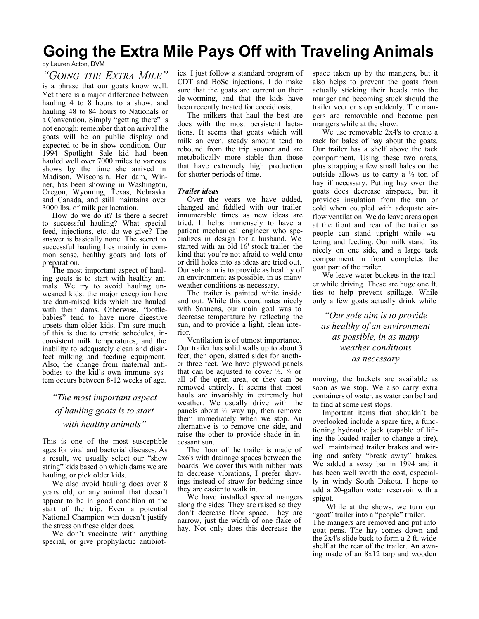# **Going the Extra Mile Pays Off with Traveling Animals**

#### by Lauren Acton, DVM

*"GOING THE EXTRA MILE"*  is a phrase that our goats know well. Yet there is a major difference between hauling 4 to 8 hours to a show, and hauling 48 to 84 hours to Nationals or a Convention. Simply "getting there" is not enough; remember that on arrival the goats will be on public display and expected to be in show condition. Our 1994 Spotlight Sale kid had been hauled well over 7000 miles to various shows by the time she arrived in Madison, Wisconsin. Her dam, Winner, has been showing in Washington, Oregon, Wyoming, Texas, Nebraska and Canada, and still maintains over 3000 lbs. of milk per lactation.

How do we do it? Is there a secret to successful hauling? What special feed, injections, etc. do we give? The answer is basically none. The secret to successful hauling lies mainly in common sense, healthy goats and lots of preparation.

The most important aspect of hauling goats is to start with healthy animals. We try to avoid hauling unweaned kids: the major exception here are dam-raised kids which are hauled with their dams. Otherwise, "bottlebabies" tend to have more digestive upsets than older kids. I'm sure much of this is due to erratic schedules, inconsistent milk temperatures, and the inability to adequately clean and disinfect milking and feeding equipment. Also, the change from maternal antibodies to the kid's own immune system occurs between 8-12 weeks of age.

# *"The most important aspect of hauling goats is to start with healthy animals"*

This is one of the most susceptible ages for viral and bacterial diseases. As a result, we usually select our "show string" kids based on which dams we are hauling, or pick older kids.

We also avoid hauling does over 8 years old, or any animal that doesn't appear to be in good condition at the start of the trip. Even a potential National Champion win doesn't justify the stress on these older does.

We don't vaccinate with anything special, or give prophylactic antibiotics. I just follow a standard program of CDT and BoSe injections. I do make sure that the goats are current on their de-worming, and that the kids have been recently treated for coccidiosis.

The milkers that haul the best are does with the most persistent lactations. It seems that goats which will milk an even, steady amount tend to rebound from the trip sooner and are metabolically more stable than those that have extremely high production for shorter periods of time.

#### *Trailer ideas*

Over the years we have added, changed and fiddled with our trailer innumerable times as new ideas are tried. It helps immensely to have a patient mechanical engineer who specializes in design for a husband. We started with an old 16' stock trailer–the kind that you're not afraid to weld onto or drill holes into as ideas are tried out. Our sole aim is to provide as healthy of an environment as possible, in as many weather conditions as necessary.

The trailer is painted white inside and out. While this coordinates nicely with Saanens, our main goal was to decrease temperature by reflecting the sun, and to provide a light, clean interior.

Ventilation is of utmost importance. Our trailer has solid walls up to about 3 feet, then open, slatted sides for another three feet. We have plywood panels that can be adjusted to cover  $\frac{1}{2}$ ,  $\frac{3}{4}$  or all of the open area, or they can be removed entirely. It seems that most hauls are invariably in extremely hot weather. We usually drive with the panels about  $\frac{1}{2}$  way up, then remove them immediately when we stop. An alternative is to remove one side, and raise the other to provide shade in incessant sun.

The floor of the trailer is made of 2x6's with drainage spaces between the boards. We cover this with rubber mats to decrease vibrations, I prefer shavings instead of straw for bedding since they are easier to walk in.

We have installed special mangers along the sides. They are raised so they don't decrease floor space. They are narrow, just the width of one flake of hay. Not only does this decrease the

space taken up by the mangers, but it also helps to prevent the goats from actually sticking their heads into the manger and becoming stuck should the trailer veer or stop suddenly. The mangers are removable and become pen mangers while at the show.

We use removable 2x4's to create a rack for bales of hay about the goats. Our trailer has a shelf above the tack compartment. Using these two areas, plus strapping a few small bales on the outside allows us to carry a  $\frac{1}{2}$  ton of hay if necessary. Putting hay over the goats does decrease airspace, but it provides insulation from the sun or cold when coupled with adequate airflow ventilation. We do leave areas open at the front and rear of the trailer so people can stand upright while watering and feeding. Our milk stand fits nicely on one side, and a large tack compartment in front completes the goat part of the trailer.

We leave water buckets in the trailer while driving. These are huge one ft. ties to help prevent spillage. While only a few goats actually drink while

*"Our sole aim is to provide as healthy of an environment as possible, in as many weather conditions as necessary*

moving, the buckets are available as soon as we stop. We also carry extra containers of water, as water can be hard to find at some rest stops.

Important items that shouldn't be overlooked include a spare tire, a functioning hydraulic jack (capable of lifting the loaded trailer to change a tire), well maintained trailer brakes and wiring and safety "break away" brakes. We added a sway bar in 1994 and it has been well worth the cost, especially in windy South Dakota. I hope to add a 20-gallon water reservoir with a spigot.

While at the shows, we turn our "goat" trailer into a "people" trailer. The mangers are removed and put into goat pens. The hay comes down and the 2x4's slide back to form a 2 ft. wide shelf at the rear of the trailer. An awning made of an 8x12 tarp and wooden